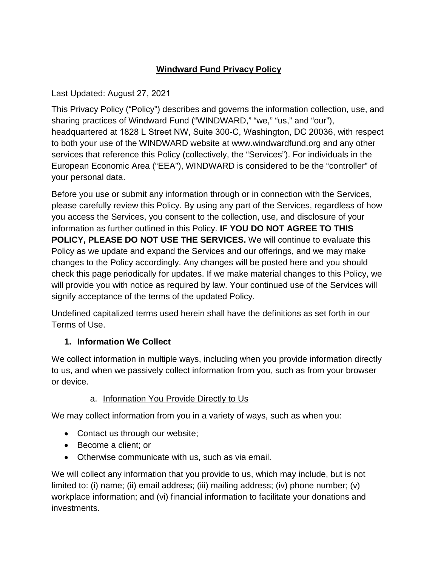# **Windward Fund Privacy Policy**

Last Updated: August 27, 2021

This Privacy Policy ("Policy") describes and governs the information collection, use, and sharing practices of Windward Fund ("WINDWARD," "we," "us," and "our"), headquartered at 1828 L Street NW, Suite 300-C, Washington, DC 20036, with respect to both your use of the WINDWARD website at www.windwardfund.org and any other services that reference this Policy (collectively, the "Services"). For individuals in the European Economic Area ("EEA"), WINDWARD is considered to be the "controller" of your personal data.

Before you use or submit any information through or in connection with the Services, please carefully review this Policy. By using any part of the Services, regardless of how you access the Services, you consent to the collection, use, and disclosure of your information as further outlined in this Policy. **IF YOU DO NOT AGREE TO THIS POLICY, PLEASE DO NOT USE THE SERVICES.** We will continue to evaluate this Policy as we update and expand the Services and our offerings, and we may make changes to the Policy accordingly. Any changes will be posted here and you should check this page periodically for updates. If we make material changes to this Policy, we will provide you with notice as required by law. Your continued use of the Services will signify acceptance of the terms of the updated Policy.

Undefined capitalized terms used herein shall have the definitions as set forth in our Terms of Use.

# **1. Information We Collect**

We collect information in multiple ways, including when you provide information directly to us, and when we passively collect information from you, such as from your browser or device.

# a. Information You Provide Directly to Us

We may collect information from you in a variety of ways, such as when you:

- Contact us through our website;
- Become a client; or
- Otherwise communicate with us, such as via email.

We will collect any information that you provide to us, which may include, but is not limited to: (i) name; (ii) email address; (iii) mailing address; (iv) phone number; (v) workplace information; and (vi) financial information to facilitate your donations and investments.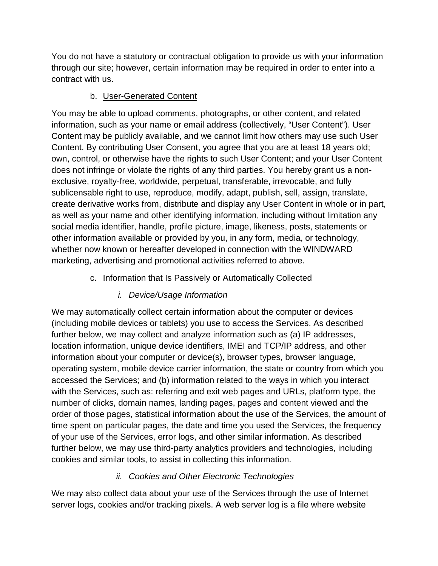You do not have a statutory or contractual obligation to provide us with your information through our site; however, certain information may be required in order to enter into a contract with us.

### b. User-Generated Content

You may be able to upload comments, photographs, or other content, and related information, such as your name or email address (collectively, "User Content"). User Content may be publicly available, and we cannot limit how others may use such User Content. By contributing User Consent, you agree that you are at least 18 years old; own, control, or otherwise have the rights to such User Content; and your User Content does not infringe or violate the rights of any third parties. You hereby grant us a nonexclusive, royalty-free, worldwide, perpetual, transferable, irrevocable, and fully sublicensable right to use, reproduce, modify, adapt, publish, sell, assign, translate, create derivative works from, distribute and display any User Content in whole or in part, as well as your name and other identifying information, including without limitation any social media identifier, handle, profile picture, image, likeness, posts, statements or other information available or provided by you, in any form, media, or technology, whether now known or hereafter developed in connection with the WINDWARD marketing, advertising and promotional activities referred to above.

### c. Information that Is Passively or Automatically Collected

# *i. Device/Usage Information*

We may automatically collect certain information about the computer or devices (including mobile devices or tablets) you use to access the Services. As described further below, we may collect and analyze information such as (a) IP addresses, location information, unique device identifiers, IMEI and TCP/IP address, and other information about your computer or device(s), browser types, browser language, operating system, mobile device carrier information, the state or country from which you accessed the Services; and (b) information related to the ways in which you interact with the Services, such as: referring and exit web pages and URLs, platform type, the number of clicks, domain names, landing pages, pages and content viewed and the order of those pages, statistical information about the use of the Services, the amount of time spent on particular pages, the date and time you used the Services, the frequency of your use of the Services, error logs, and other similar information. As described further below, we may use third-party analytics providers and technologies, including cookies and similar tools, to assist in collecting this information.

# *ii. Cookies and Other Electronic Technologies*

We may also collect data about your use of the Services through the use of Internet server logs, cookies and/or tracking pixels. A web server log is a file where website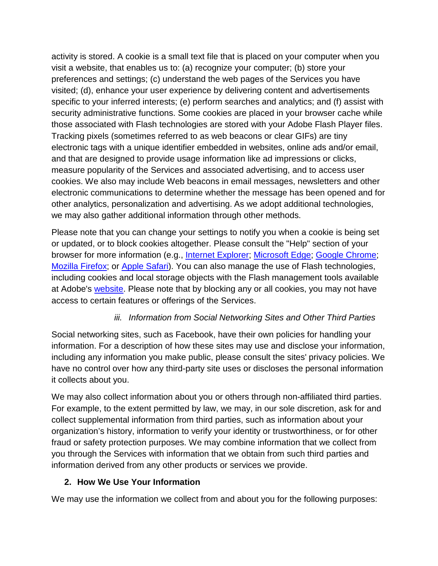activity is stored. A cookie is a small text file that is placed on your computer when you visit a website, that enables us to: (a) recognize your computer; (b) store your preferences and settings; (c) understand the web pages of the Services you have visited; (d), enhance your user experience by delivering content and advertisements specific to your inferred interests; (e) perform searches and analytics; and (f) assist with security administrative functions. Some cookies are placed in your browser cache while those associated with Flash technologies are stored with your Adobe Flash Player files. Tracking pixels (sometimes referred to as web beacons or clear GIFs) are tiny electronic tags with a unique identifier embedded in websites, online ads and/or email, and that are designed to provide usage information like ad impressions or clicks, measure popularity of the Services and associated advertising, and to access user cookies. We also may include Web beacons in email messages, newsletters and other electronic communications to determine whether the message has been opened and for other analytics, personalization and advertising. As we adopt additional technologies, we may also gather additional information through other methods.

Please note that you can change your settings to notify you when a cookie is being set or updated, or to block cookies altogether. Please consult the "Help" section of your browser for more information (e.g., [Internet Explorer;](http://windows.microsoft.com/en-US/windows-vista/Block-or-allow-cookies) [Microsoft Edge;](https://privacy.microsoft.com/en-us/windows-10-microsoft-edge-and-privacy) [Google Chrome;](https://support.google.com/chrome/answer/95647?hl=en) [Mozilla Firefox;](http://kb.mozillazine.org/Cookies#Firefox) or [Apple Safari\)](http://support.apple.com/kb/PH5042). You can also manage the use of Flash technologies, including cookies and local storage objects with the Flash management tools available at Adobe's [website.](http://www.macromedia.com/support/documentation/en/flashplayer/help/settings_manager02.html) Please note that by blocking any or all cookies, you may not have access to certain features or offerings of the Services.

### *iii. Information from Social Networking Sites and Other Third Parties*

Social networking sites, such as Facebook, have their own policies for handling your information. For a description of how these sites may use and disclose your information, including any information you make public, please consult the sites' privacy policies. We have no control over how any third-party site uses or discloses the personal information it collects about you.

We may also collect information about you or others through non-affiliated third parties. For example, to the extent permitted by law, we may, in our sole discretion, ask for and collect supplemental information from third parties, such as information about your organization's history, information to verify your identity or trustworthiness, or for other fraud or safety protection purposes. We may combine information that we collect from you through the Services with information that we obtain from such third parties and information derived from any other products or services we provide.

#### **2. How We Use Your Information**

We may use the information we collect from and about you for the following purposes: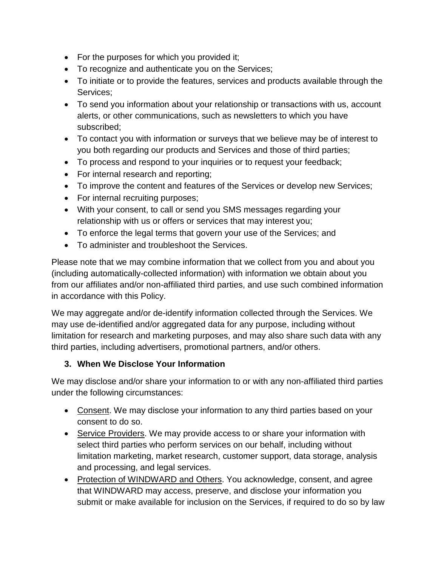- For the purposes for which you provided it;
- To recognize and authenticate you on the Services;
- To initiate or to provide the features, services and products available through the Services;
- To send you information about your relationship or transactions with us, account alerts, or other communications, such as newsletters to which you have subscribed;
- To contact you with information or surveys that we believe may be of interest to you both regarding our products and Services and those of third parties;
- To process and respond to your inquiries or to request your feedback;
- For internal research and reporting;
- To improve the content and features of the Services or develop new Services;
- For internal recruiting purposes;
- With your consent, to call or send you SMS messages regarding your relationship with us or offers or services that may interest you;
- To enforce the legal terms that govern your use of the Services; and
- To administer and troubleshoot the Services.

Please note that we may combine information that we collect from you and about you (including automatically-collected information) with information we obtain about you from our affiliates and/or non-affiliated third parties, and use such combined information in accordance with this Policy.

We may aggregate and/or de-identify information collected through the Services. We may use de-identified and/or aggregated data for any purpose, including without limitation for research and marketing purposes, and may also share such data with any third parties, including advertisers, promotional partners, and/or others.

### **3. When We Disclose Your Information**

We may disclose and/or share your information to or with any non-affiliated third parties under the following circumstances:

- Consent. We may disclose your information to any third parties based on your consent to do so.
- Service Providers. We may provide access to or share your information with select third parties who perform services on our behalf, including without limitation marketing, market research, customer support, data storage, analysis and processing, and legal services.
- Protection of WINDWARD and Others. You acknowledge, consent, and agree that WINDWARD may access, preserve, and disclose your information you submit or make available for inclusion on the Services, if required to do so by law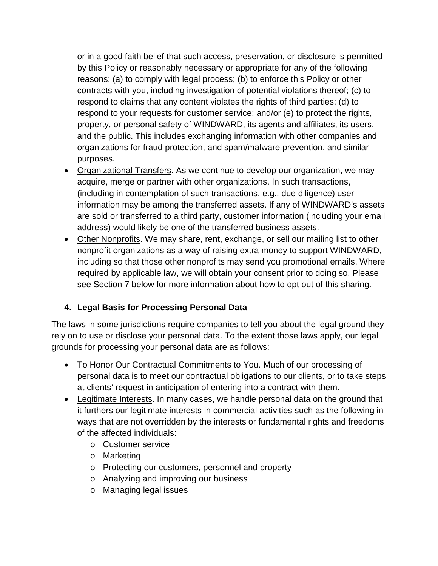or in a good faith belief that such access, preservation, or disclosure is permitted by this Policy or reasonably necessary or appropriate for any of the following reasons: (a) to comply with legal process; (b) to enforce this Policy or other contracts with you, including investigation of potential violations thereof; (c) to respond to claims that any content violates the rights of third parties; (d) to respond to your requests for customer service; and/or (e) to protect the rights, property, or personal safety of WINDWARD, its agents and affiliates, its users, and the public. This includes exchanging information with other companies and organizations for fraud protection, and spam/malware prevention, and similar purposes.

- Organizational Transfers. As we continue to develop our organization, we may acquire, merge or partner with other organizations. In such transactions, (including in contemplation of such transactions, e.g., due diligence) user information may be among the transferred assets. If any of WINDWARD's assets are sold or transferred to a third party, customer information (including your email address) would likely be one of the transferred business assets.
- Other Nonprofits. We may share, rent, exchange, or sell our mailing list to other nonprofit organizations as a way of raising extra money to support WINDWARD, including so that those other nonprofits may send you promotional emails. Where required by applicable law, we will obtain your consent prior to doing so. Please see Section 7 below for more information about how to opt out of this sharing.

### **4. Legal Basis for Processing Personal Data**

The laws in some jurisdictions require companies to tell you about the legal ground they rely on to use or disclose your personal data. To the extent those laws apply, our legal grounds for processing your personal data are as follows:

- To Honor Our Contractual Commitments to You. Much of our processing of personal data is to meet our contractual obligations to our clients, or to take steps at clients' request in anticipation of entering into a contract with them.
- Legitimate Interests. In many cases, we handle personal data on the ground that it furthers our legitimate interests in commercial activities such as the following in ways that are not overridden by the interests or fundamental rights and freedoms of the affected individuals:
	- o Customer service
	- o Marketing
	- o Protecting our customers, personnel and property
	- o Analyzing and improving our business
	- o Managing legal issues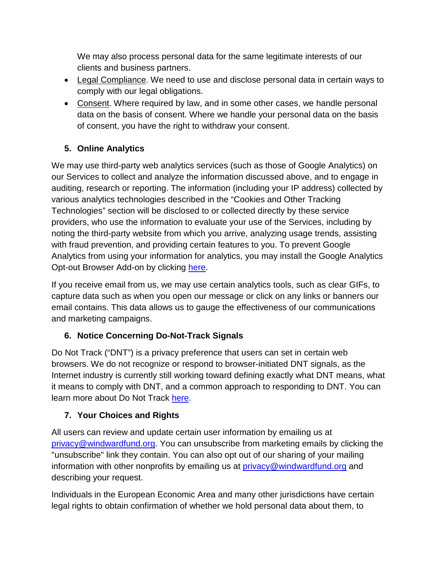We may also process personal data for the same legitimate interests of our clients and business partners.

- Legal Compliance. We need to use and disclose personal data in certain ways to comply with our legal obligations.
- Consent. Where required by law, and in some other cases, we handle personal data on the basis of consent. Where we handle your personal data on the basis of consent, you have the right to withdraw your consent.

# **5. Online Analytics**

We may use third-party web analytics services (such as those of Google Analytics) on our Services to collect and analyze the information discussed above, and to engage in auditing, research or reporting. The information (including your IP address) collected by various analytics technologies described in the "Cookies and Other Tracking Technologies" section will be disclosed to or collected directly by these service providers, who use the information to evaluate your use of the Services, including by noting the third-party website from which you arrive, analyzing usage trends, assisting with fraud prevention, and providing certain features to you. To prevent Google Analytics from using your information for analytics, you may install the Google Analytics Opt-out Browser Add-on by clicking [here.](http://tools.google.com/dlpage/gaoptout)

If you receive email from us, we may use certain analytics tools, such as clear GIFs, to capture data such as when you open our message or click on any links or banners our email contains. This data allows us to gauge the effectiveness of our communications and marketing campaigns.

# **6. Notice Concerning Do-Not-Track Signals**

Do Not Track ("DNT") is a privacy preference that users can set in certain web browsers. We do not recognize or respond to browser-initiated DNT signals, as the Internet industry is currently still working toward defining exactly what DNT means, what it means to comply with DNT, and a common approach to responding to DNT. You can learn more about Do Not Track [here.](http://allaboutdnt.com/)

### **7. Your Choices and Rights**

All users can review and update certain user information by emailing us at [privacy@windwardfund.org.](mailto:privacy@windwardfund.org) You can unsubscribe from marketing emails by clicking the "unsubscribe" link they contain. You can also opt out of our sharing of your mailing information with other nonprofits by emailing us at [privacy@windwardfund.org](mailto:privacy@windwardfund.org) and describing your request.

Individuals in the European Economic Area and many other jurisdictions have certain legal rights to obtain confirmation of whether we hold personal data about them, to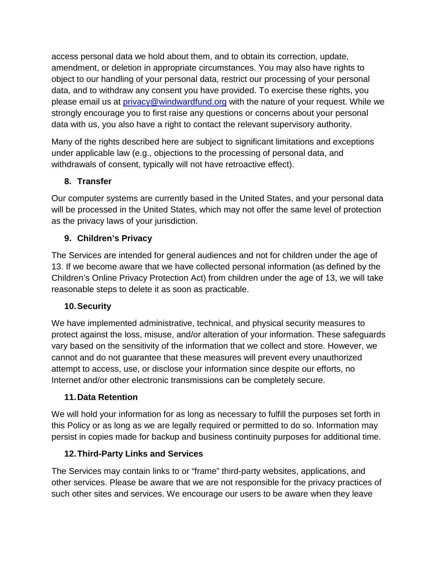access personal data we hold about them, and to obtain its correction, update, amendment, or deletion in appropriate circumstances. You may also have rights to object to our handling of your personal data, restrict our processing of your personal data, and to withdraw any consent you have provided. To exercise these rights, you please email us at *privacy@windwardfund.org* with the nature of your request. While we strongly encourage you to first raise any questions or concerns about your personal data with us, you also have a right to contact the relevant supervisory authority.

Many of the rights described here are subject to significant limitations and exceptions under applicable law (e.g., objections to the processing of personal data, and withdrawals of consent, typically will not have retroactive effect).

### **8. Transfer**

Our computer systems are currently based in the United States, and your personal data will be processed in the United States, which may not offer the same level of protection as the privacy laws of your jurisdiction.

### **9. Children's Privacy**

The Services are intended for general audiences and not for children under the age of 13. If we become aware that we have collected personal information (as defined by the Children's Online Privacy Protection Act) from children under the age of 13, we will take reasonable steps to delete it as soon as practicable.

### **10.Security**

We have implemented administrative, technical, and physical security measures to protect against the loss, misuse, and/or alteration of your information. These safeguards vary based on the sensitivity of the information that we collect and store. However, we cannot and do not guarantee that these measures will prevent every unauthorized attempt to access, use, or disclose your information since despite our efforts, no Internet and/or other electronic transmissions can be completely secure.

### **11.Data Retention**

We will hold your information for as long as necessary to fulfill the purposes set forth in this Policy or as long as we are legally required or permitted to do so. Information may persist in copies made for backup and business continuity purposes for additional time.

### **12.Third-Party Links and Services**

The Services may contain links to or "frame" third-party websites, applications, and other services. Please be aware that we are not responsible for the privacy practices of such other sites and services. We encourage our users to be aware when they leave